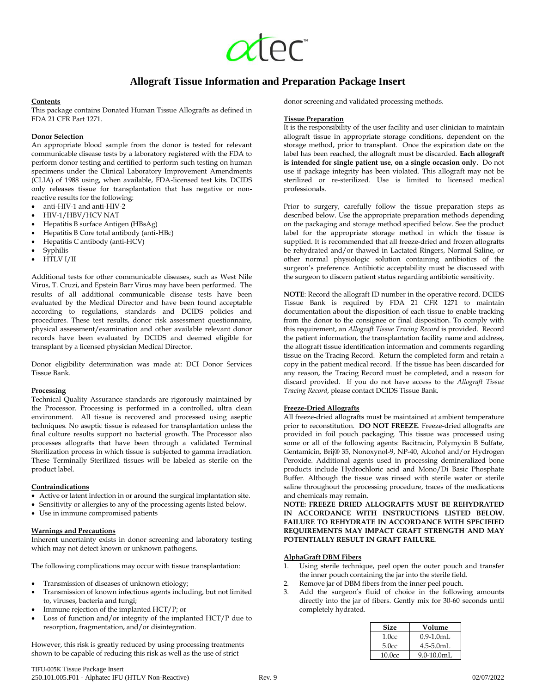# **Allograft Tissue Information and Preparation Package Insert**

# **Contents**

This package contains Donated Human Tissue Allografts as defined in FDA 21 CFR Part 1271.

# **Donor Selection**

An appropriate blood sample from the donor is tested for relevant communicable disease tests by a laboratory registered with the FDA to perform donor testing and certified to perform such testing on human specimens under the Clinical Laboratory Improvement Amendments (CLIA) of 1988 using, when available, FDA-licensed test kits. DCIDS only releases tissue for transplantation that has negative or nonreactive results for the following:

- anti-HIV-1 and anti-HIV-2
- HIV-1/HBV/HCV NAT
- Hepatitis B surface Antigen (HBsAg)
- Hepatitis B Core total antibody (anti-HBc)
- Hepatitis C antibody (anti-HCV)
- Syphilis
- HTLV I/II

Additional tests for other communicable diseases, such as West Nile Virus, T. Cruzi, and Epstein Barr Virus may have been performed. The results of all additional communicable disease tests have been evaluated by the Medical Director and have been found acceptable according to regulations, standards and DCIDS policies and procedures. These test results, donor risk assessment questionnaire, physical assessment/examination and other available relevant donor records have been evaluated by DCIDS and deemed eligible for transplant by a licensed physician Medical Director.

Donor eligibility determination was made at: DCI Donor Services Tissue Bank.

#### **Processing**

Technical Quality Assurance standards are rigorously maintained by the Processor. Processing is performed in a controlled, ultra clean environment. All tissue is recovered and processed using aseptic techniques. No aseptic tissue is released for transplantation unless the final culture results support no bacterial growth. The Processor also processes allografts that have been through a validated Terminal Sterilization process in which tissue is subjected to gamma irradiation. These Terminally Sterilized tissues will be labeled as sterile on the product label.

#### **Contraindications**

- Active or latent infection in or around the surgical implantation site.
- Sensitivity or allergies to any of the processing agents listed below.
- Use in immune compromised patients

#### **Warnings and Precautions**

Inherent uncertainty exists in donor screening and laboratory testing which may not detect known or unknown pathogens.

The following complications may occur with tissue transplantation:

- Transmission of diseases of unknown etiology;
- Transmission of known infectious agents including, but not limited to, viruses, bacteria and fungi;
- Immune rejection of the implanted HCT/P; or
- Loss of function and/or integrity of the implanted HCT/P due to resorption, fragmentation, and/or disintegration.

However, this risk is greatly reduced by using processing treatments shown to be capable of reducing this risk as well as the use of strict

donor screening and validated processing methods.

## **Tissue Preparation**

It is the responsibility of the user facility and user clinician to maintain allograft tissue in appropriate storage conditions, dependent on the storage method, prior to transplant. Once the expiration date on the label has been reached, the allograft must be discarded. **Each allograft is intended for single patient use, on a single occasion only**. Do not use if package integrity has been violated. This allograft may not be sterilized or re-sterilized. Use is limited to licensed medical professionals.

Prior to surgery, carefully follow the tissue preparation steps as described below. Use the appropriate preparation methods depending on the packaging and storage method specified below. See the product label for the appropriate storage method in which the tissue is supplied. It is recommended that all freeze-dried and frozen allografts be rehydrated and/or thawed in Lactated Ringers, Normal Saline, or other normal physiologic solution containing antibiotics of the surgeon's preference. Antibiotic acceptability must be discussed with the surgeon to discern patient status regarding antibiotic sensitivity.

**NOTE**: Record the allograft ID number in the operative record. DCIDS Tissue Bank is required by FDA 21 CFR 1271 to maintain documentation about the disposition of each tissue to enable tracking from the donor to the consignee or final disposition. To comply with this requirement, an *Allograft Tissue Tracing Record* is provided. Record the patient information, the transplantation facility name and address, the allograft tissue identification information and comments regarding tissue on the Tracing Record. Return the completed form and retain a copy in the patient medical record. If the tissue has been discarded for any reason, the Tracing Record must be completed, and a reason for discard provided. If you do not have access to the *Allograft Tissue Tracing Record*, please contact DCIDS Tissue Bank.

# **Freeze-Dried Allografts**

All freeze-dried allografts must be maintained at ambient temperature prior to reconstitution. **DO NOT FREEZE**. Freeze-dried allografts are provided in foil pouch packaging. This tissue was processed using some or all of the following agents: Bacitracin, Polymyxin B Sulfate, Gentamicin, Brij® 35, Nonoxynol-9, NP-40, Alcohol and/or Hydrogen Peroxide. Additional agents used in processing demineralized bone products include Hydrochloric acid and Mono/Di Basic Phosphate Buffer. Although the tissue was rinsed with sterile water or sterile saline throughout the processing procedure, traces of the medications and chemicals may remain.

**NOTE: FREEZE DRIED ALLOGRAFTS MUST BE REHYDRATED IN ACCORDANCE WITH INSTRUCTIONS LISTED BELOW. FAILURE TO REHYDRATE IN ACCORDANCE WITH SPECIFIED REQUIREMENTS MAY IMPACT GRAFT STRENGTH AND MAY POTENTIALLY RESULT IN GRAFT FAILURE.**

#### **AlphaGraft DBM Fibers**

- 1. Using sterile technique, peel open the outer pouch and transfer the inner pouch containing the jar into the sterile field.
- 2. Remove jar of DBM fibers from the inner peel pouch.
- Add the surgeon's fluid of choice in the following amounts directly into the jar of fibers. Gently mix for 30-60 seconds until completely hydrated.

| <b>Size</b> | Volume          |
|-------------|-----------------|
| 1.0cc       | $0.9 - 1.0$ mL  |
| 5.0cc       | $4.5 - 5.0$ mL  |
| 10.0cc      | $9.0 - 10.0$ mL |